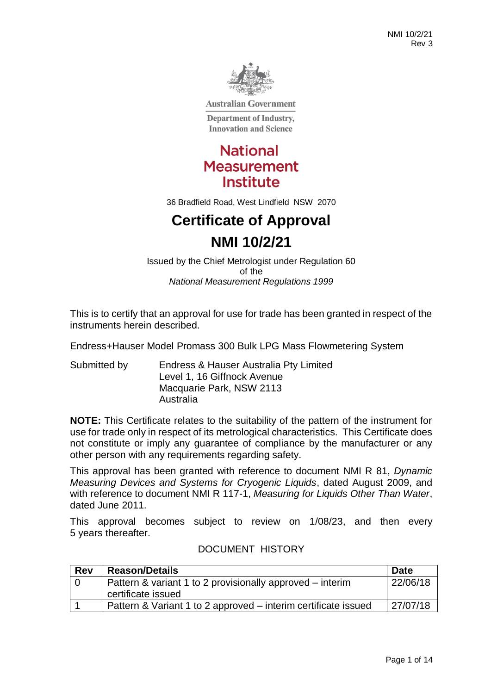

**Australian Government** 

**Department of Industry, Innovation and Science** 

# **National Measurement Institute**

36 Bradfield Road, West Lindfield NSW 2070

# **Certificate of Approval NMI 10/2/21**

Issued by the Chief Metrologist under Regulation 60 of the *National Measurement Regulations 1999*

This is to certify that an approval for use for trade has been granted in respect of the instruments herein described.

Endress+Hauser Model Promass 300 Bulk LPG Mass Flowmetering System

Submitted by Endress & Hauser Australia Pty Limited Level 1, 16 Giffnock Avenue Macquarie Park, NSW 2113 Australia

**NOTE:** This Certificate relates to the suitability of the pattern of the instrument for use for trade only in respect of its metrological characteristics. This Certificate does not constitute or imply any guarantee of compliance by the manufacturer or any other person with any requirements regarding safety.

This approval has been granted with reference to document NMI R 81, *Dynamic Measuring Devices and Systems for Cryogenic Liquids*, dated August 2009, and with reference to document NMI R 117-1, *Measuring for Liquids Other Than Water*, dated June 2011.

This approval becomes subject to review on 1/08/23, and then every 5 years thereafter.

# DOCUMENT HISTORY

| <b>Rev</b> | <b>Reason/Details</b>                                                 | <b>Date</b> |  |  |
|------------|-----------------------------------------------------------------------|-------------|--|--|
|            | 22/06/18<br>Pattern & variant 1 to 2 provisionally approved – interim |             |  |  |
|            | certificate issued                                                    |             |  |  |
|            | Pattern & Variant 1 to 2 approved – interim certificate issued        | 27/07/18    |  |  |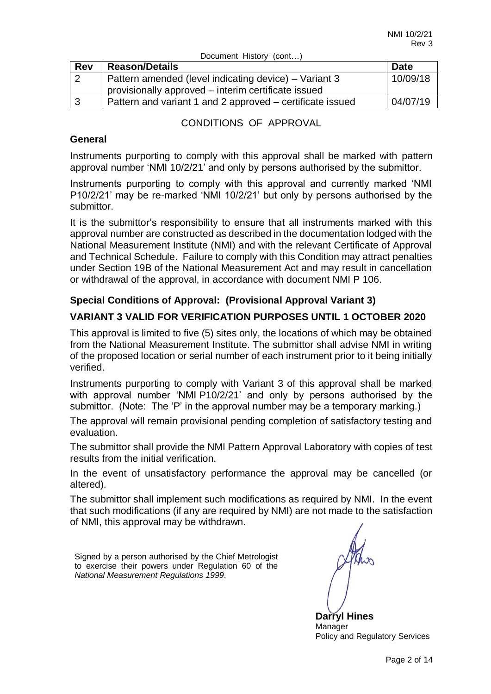| <b>Rev</b> | <b>Reason/Details</b>                                     | <b>Date</b> |
|------------|-----------------------------------------------------------|-------------|
| ◠          | Pattern amended (level indicating device) – Variant 3     | 10/09/18    |
|            | provisionally approved – interim certificate issued       |             |
|            | Pattern and variant 1 and 2 approved – certificate issued | 04/07/19    |

Document History (cont...)

#### CONDITIONS OF APPROVAL

#### **General**

Instruments purporting to comply with this approval shall be marked with pattern approval number 'NMI 10/2/21' and only by persons authorised by the submittor.

Instruments purporting to comply with this approval and currently marked 'NMI P10/2/21' may be re-marked 'NMI 10/2/21' but only by persons authorised by the submittor.

It is the submittor's responsibility to ensure that all instruments marked with this approval number are constructed as described in the documentation lodged with the National Measurement Institute (NMI) and with the relevant Certificate of Approval and Technical Schedule. Failure to comply with this Condition may attract penalties under Section 19B of the National Measurement Act and may result in cancellation or withdrawal of the approval, in accordance with document NMI P 106.

# **Special Conditions of Approval: (Provisional Approval Variant 3)**

# **VARIANT 3 VALID FOR VERIFICATION PURPOSES UNTIL 1 OCTOBER 2020**

This approval is limited to five (5) sites only, the locations of which may be obtained from the National Measurement Institute. The submittor shall advise NMI in writing of the proposed location or serial number of each instrument prior to it being initially verified.

Instruments purporting to comply with Variant 3 of this approval shall be marked with approval number 'NMI P10/2/21' and only by persons authorised by the submittor. (Note: The 'P' in the approval number may be a temporary marking.)

The approval will remain provisional pending completion of satisfactory testing and evaluation.

The submittor shall provide the NMI Pattern Approval Laboratory with copies of test results from the initial verification.

In the event of unsatisfactory performance the approval may be cancelled (or altered).

The submittor shall implement such modifications as required by NMI. In the event that such modifications (if any are required by NMI) are not made to the satisfaction of NMI, this approval may be withdrawn.

Signed by a person authorised by the Chief Metrologist to exercise their powers under Regulation 60 of the *National Measurement Regulations 1999*.

**Darryl Hines**  Manager Policy and Regulatory Services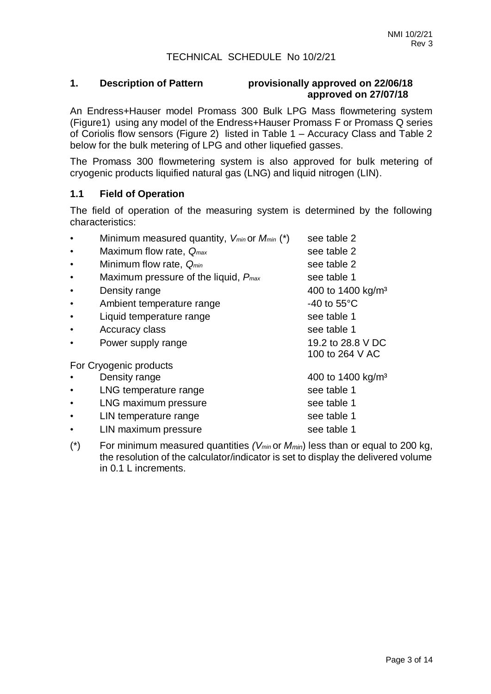#### TECHNICAL SCHEDULE No 10/2/21

#### **1. Description of Pattern provisionally approved on 22/06/18 approved on 27/07/18**

An Endress+Hauser model Promass 300 Bulk LPG Mass flowmetering system (Figure1) using any model of the Endress+Hauser Promass F or Promass Q series of Coriolis flow sensors (Figure 2) listed in Table 1 – Accuracy Class and Table 2 below for the bulk metering of LPG and other liquefied gasses.

The Promass 300 flowmetering system is also approved for bulk metering of cryogenic products liquified natural gas (LNG) and liquid nitrogen (LIN).

#### **1.1 Field of Operation**

The field of operation of the measuring system is determined by the following characteristics:

| Minimum measured quantity, $V_{min}$ or $M_{min}$ (*) | see table 2                          |
|-------------------------------------------------------|--------------------------------------|
| Maximum flow rate, $Q_{max}$                          | see table 2                          |
| Minimum flow rate, Q <sub>min</sub>                   | see table 2                          |
| Maximum pressure of the liquid, $P_{max}$             | see table 1                          |
| Density range                                         | 400 to 1400 kg/m <sup>3</sup>        |
| Ambient temperature range                             | -40 to $55^{\circ}$ C                |
| Liquid temperature range                              | see table 1                          |
| Accuracy class                                        | see table 1                          |
| Power supply range                                    | 19.2 to 28.8 V DC<br>100 to 264 V AC |
| For Cryogenic products                                |                                      |
| Density range                                         | 400 to 1400 kg/m <sup>3</sup>        |
| LNG temperature range                                 | see table 1                          |
| LNG maximum pressure                                  | see table 1                          |
| LIN temperature range                                 | see table 1                          |
| LIN maximum pressure                                  | see table 1                          |
|                                                       |                                      |

(\*) For minimum measured quantities *(Vmin* or *Mmin*) less than or equal to 200 kg, the resolution of the calculator/indicator is set to display the delivered volume in 0.1 L increments.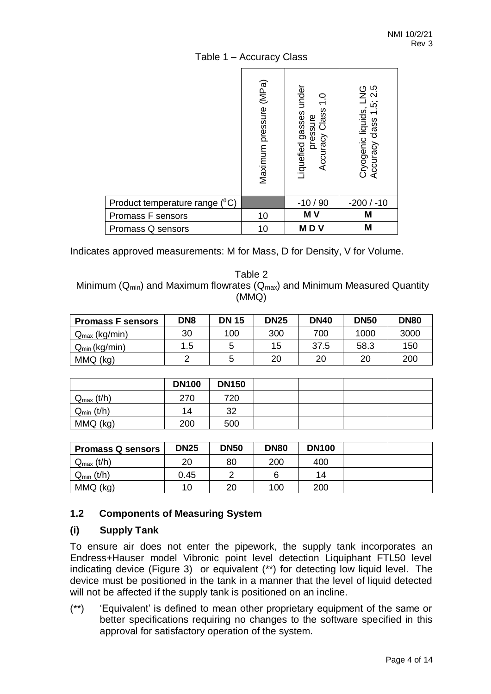|                                | Maximum pressure (MPa) | under<br>Class<br>Liquefied gasses<br>pressure<br>Accuracy | Cryogenic liquids, LNG<br>Accuracy class 1.5; 2.5 |
|--------------------------------|------------------------|------------------------------------------------------------|---------------------------------------------------|
| Product temperature range (°C) |                        | $-10/90$                                                   | $-200/ -10$                                       |
| Promass F sensors              | 10                     | MV                                                         | M                                                 |
| Promass Q sensors              | 10                     | <b>MDV</b>                                                 | M                                                 |

#### Table 1 – Accuracy Class

Indicates approved measurements: M for Mass, D for Density, V for Volume.

Table 2 Minimum ( $Q_{min}$ ) and Maximum flowrates ( $Q_{max}$ ) and Minimum Measured Quantity (MMQ)

| <b>Promass F sensors</b>  | DN <sub>8</sub> | <b>DN 15</b> | <b>DN25</b> | <b>DN40</b> | <b>DN50</b> | <b>DN80</b> |
|---------------------------|-----------------|--------------|-------------|-------------|-------------|-------------|
| $Q_{\text{max}}$ (kg/min) | 30              | 100          | 300         | 700         | 1000        | 3000        |
| $Q_{min}$ (kg/min)        | 1.5             |              | 15          | 37.5        | 58.3        | 150         |
| MMQ (kg)                  |                 |              | 20          | 20          | 20          | 200         |

|                       | <b>DN100</b> | <b>DN150</b> |  |  |
|-----------------------|--------------|--------------|--|--|
| $Q_{\text{max}}(t/h)$ | 270          | 720          |  |  |
| $Q_{min}$ (t/h)       | 14           | າາ           |  |  |
| MMQ (kg)              | 200          | 500          |  |  |

| <b>Promass Q sensors</b> | <b>DN25</b> | <b>DN50</b> | <b>DN80</b> | <b>DN100</b> |  |
|--------------------------|-------------|-------------|-------------|--------------|--|
| $Q_{\text{max}}(t/h)$    | 20          | 80          | 200         | 400          |  |
| $Q_{min}$ (t/h)          | 0.45        |             | 6           | 14           |  |
| MMQ (kg)                 | 10          | 20          | 100         | 200          |  |

#### **1.2 Components of Measuring System**

#### **(i) Supply Tank**

To ensure air does not enter the pipework, the supply tank incorporates an Endress+Hauser model Vibronic point level detection Liquiphant FTL50 level indicating device (Figure 3) or equivalent (\*\*) for detecting low liquid level. The device must be positioned in the tank in a manner that the level of liquid detected will not be affected if the supply tank is positioned on an incline.

(\*\*) 'Equivalent' is defined to mean other proprietary equipment of the same or better specifications requiring no changes to the software specified in this approval for satisfactory operation of the system.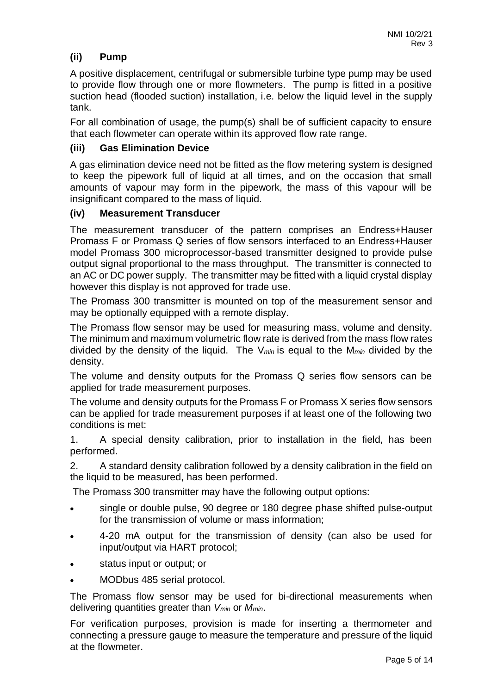# **(ii) Pump**

A positive displacement, centrifugal or submersible turbine type pump may be used to provide flow through one or more flowmeters. The pump is fitted in a positive suction head (flooded suction) installation, i.e. below the liquid level in the supply tank.

For all combination of usage, the pump(s) shall be of sufficient capacity to ensure that each flowmeter can operate within its approved flow rate range.

#### **(iii) Gas Elimination Device**

A gas elimination device need not be fitted as the flow metering system is designed to keep the pipework full of liquid at all times, and on the occasion that small amounts of vapour may form in the pipework, the mass of this vapour will be insignificant compared to the mass of liquid.

#### **(iv) Measurement Transducer**

The measurement transducer of the pattern comprises an Endress+Hauser Promass F or Promass Q series of flow sensors interfaced to an Endress+Hauser model Promass 300 microprocessor-based transmitter designed to provide pulse output signal proportional to the mass throughput. The transmitter is connected to an AC or DC power supply. The transmitter may be fitted with a liquid crystal display however this display is not approved for trade use.

The Promass 300 transmitter is mounted on top of the measurement sensor and may be optionally equipped with a remote display.

The Promass flow sensor may be used for measuring mass, volume and density. The minimum and maximum volumetric flow rate is derived from the mass flow rates divided by the density of the liquid. The V*min* is equal to the M*min* divided by the density.

The volume and density outputs for the Promass Q series flow sensors can be applied for trade measurement purposes.

The volume and density outputs for the Promass F or Promass X series flow sensors can be applied for trade measurement purposes if at least one of the following two conditions is met:

1. A special density calibration, prior to installation in the field, has been performed.

2. A standard density calibration followed by a density calibration in the field on the liquid to be measured, has been performed.

The Promass 300 transmitter may have the following output options:

- single or double pulse, 90 degree or 180 degree phase shifted pulse-output for the transmission of volume or mass information;
- 4-20 mA output for the transmission of density (can also be used for input/output via HART protocol;
- status input or output; or
- MODbus 485 serial protocol.

The Promass flow sensor may be used for bi-directional measurements when delivering quantities greater than *Vmin* or *Mmin*.

For verification purposes, provision is made for inserting a thermometer and connecting a pressure gauge to measure the temperature and pressure of the liquid at the flowmeter.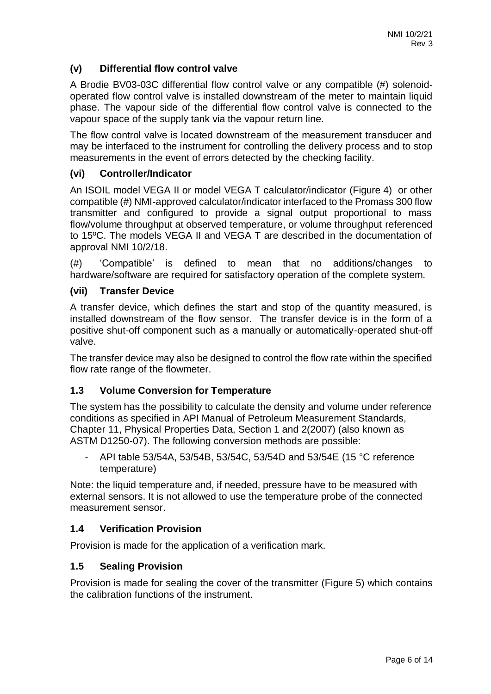# **(v) Differential flow control valve**

A Brodie BV03-03C differential flow control valve or any compatible (#) solenoidoperated flow control valve is installed downstream of the meter to maintain liquid phase. The vapour side of the differential flow control valve is connected to the vapour space of the supply tank via the vapour return line.

The flow control valve is located downstream of the measurement transducer and may be interfaced to the instrument for controlling the delivery process and to stop measurements in the event of errors detected by the checking facility.

#### **(vi) Controller/Indicator**

An ISOIL model VEGA II or model VEGA T calculator/indicator (Figure 4) or other compatible (#) NMI-approved calculator/indicator interfaced to the Promass 300 flow transmitter and configured to provide a signal output proportional to mass flow/volume throughput at observed temperature, or volume throughput referenced to 15ºC. The models VEGA II and VEGA T are described in the documentation of approval NMI 10/2/18.

(#) 'Compatible' is defined to mean that no additions/changes to hardware/software are required for satisfactory operation of the complete system.

#### **(vii) Transfer Device**

A transfer device, which defines the start and stop of the quantity measured, is installed downstream of the flow sensor. The transfer device is in the form of a positive shut-off component such as a manually or automatically-operated shut-off valve.

The transfer device may also be designed to control the flow rate within the specified flow rate range of the flowmeter.

#### **1.3 Volume Conversion for Temperature**

The system has the possibility to calculate the density and volume under reference conditions as specified in API Manual of Petroleum Measurement Standards, Chapter 11, Physical Properties Data, Section 1 and 2(2007) (also known as ASTM D1250-07). The following conversion methods are possible:

API table 53/54A, 53/54B, 53/54C, 53/54D and 53/54E (15 °C reference temperature)

Note: the liquid temperature and, if needed, pressure have to be measured with external sensors. It is not allowed to use the temperature probe of the connected measurement sensor.

#### **1.4 Verification Provision**

Provision is made for the application of a verification mark.

#### **1.5 Sealing Provision**

Provision is made for sealing the cover of the transmitter (Figure 5) which contains the calibration functions of the instrument.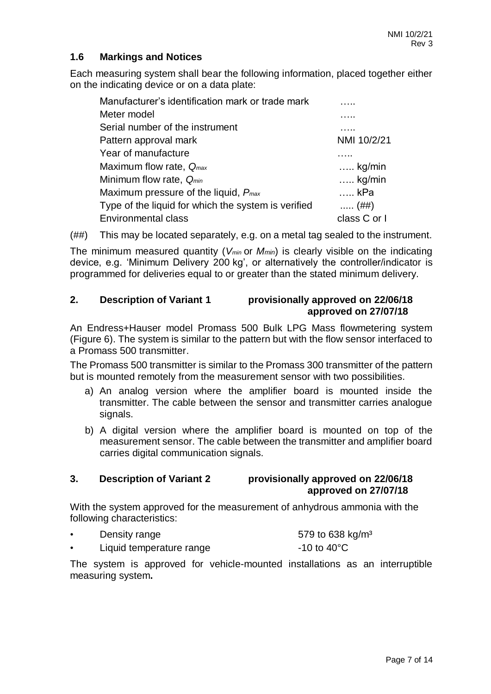# **1.6 Markings and Notices**

Each measuring system shall bear the following information, placed together either on the indicating device or on a data plate:

| Manufacturer's identification mark or trade mark    |                 |
|-----------------------------------------------------|-----------------|
| Meter model                                         |                 |
| Serial number of the instrument                     | .               |
| Pattern approval mark                               | NMI 10/2/21     |
| Year of manufacture                                 |                 |
| Maximum flow rate, $Q_{max}$                        | $\ldots$ kg/min |
| Minimum flow rate, Q <sub>min</sub>                 | $\ldots$ kg/min |
| Maximum pressure of the liquid, $P_{max}$           | … kPa           |
| Type of the liquid for which the system is verified | $(##)$          |
| <b>Environmental class</b>                          | class C or I    |

(##) This may be located separately, e.g. on a metal tag sealed to the instrument.

The minimum measured quantity (*Vmin* or *Mmin*) is clearly visible on the indicating device, e.g. 'Minimum Delivery 200 kg', or alternatively the controller/indicator is programmed for deliveries equal to or greater than the stated minimum delivery.

### **2. Description of Variant 1 provisionally approved on 22/06/18 approved on 27/07/18**

An Endress+Hauser model Promass 500 Bulk LPG Mass flowmetering system (Figure 6). The system is similar to the pattern but with the flow sensor interfaced to a Promass 500 transmitter.

The Promass 500 transmitter is similar to the Promass 300 transmitter of the pattern but is mounted remotely from the measurement sensor with two possibilities.

- a) An analog version where the amplifier board is mounted inside the transmitter. The cable between the sensor and transmitter carries analogue signals.
- b) A digital version where the amplifier board is mounted on top of the measurement sensor. The cable between the transmitter and amplifier board carries digital communication signals.

#### **3. Description of Variant 2 provisionally approved on 22/06/18 approved on 27/07/18**

With the system approved for the measurement of anhydrous ammonia with the following characteristics:

| Density range            | 579 to 638 kg/m <sup>3</sup> |
|--------------------------|------------------------------|
| Liquid temperature range | $-10$ to $40^{\circ}$ C      |

The system is approved for vehicle-mounted installations as an interruptible measuring system**.**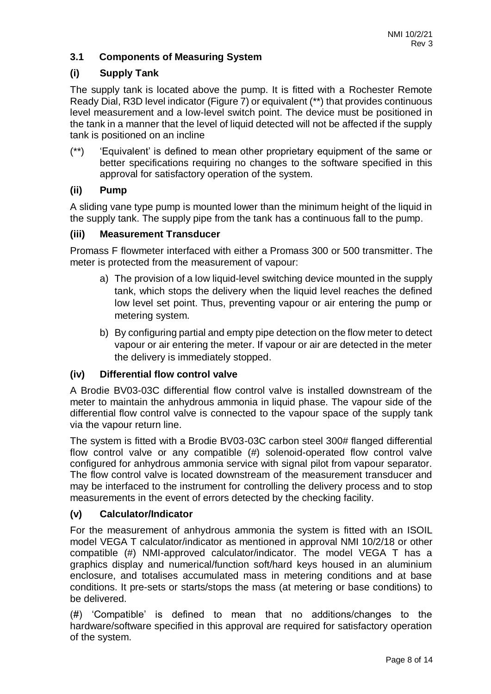# **3.1 Components of Measuring System**

#### **(i) Supply Tank**

The supply tank is located above the pump. It is fitted with a Rochester Remote Ready Dial, R3D level indicator (Figure 7) or equivalent (\*\*) that provides continuous level measurement and a low-level switch point. The device must be positioned in the tank in a manner that the level of liquid detected will not be affected if the supply tank is positioned on an incline

(\*\*) 'Equivalent' is defined to mean other proprietary equipment of the same or better specifications requiring no changes to the software specified in this approval for satisfactory operation of the system.

#### **(ii) Pump**

A sliding vane type pump is mounted lower than the minimum height of the liquid in the supply tank. The supply pipe from the tank has a continuous fall to the pump.

#### **(iii) Measurement Transducer**

Promass F flowmeter interfaced with either a Promass 300 or 500 transmitter. The meter is protected from the measurement of vapour:

- a) The provision of a low liquid-level switching device mounted in the supply tank, which stops the delivery when the liquid level reaches the defined low level set point. Thus, preventing vapour or air entering the pump or metering system.
- b) By configuring partial and empty pipe detection on the flow meter to detect vapour or air entering the meter. If vapour or air are detected in the meter the delivery is immediately stopped.

#### **(iv) Differential flow control valve**

A Brodie BV03-03C differential flow control valve is installed downstream of the meter to maintain the anhydrous ammonia in liquid phase. The vapour side of the differential flow control valve is connected to the vapour space of the supply tank via the vapour return line.

The system is fitted with a Brodie BV03-03C carbon steel 300# flanged differential flow control valve or any compatible (#) solenoid-operated flow control valve configured for anhydrous ammonia service with signal pilot from vapour separator. The flow control valve is located downstream of the measurement transducer and may be interfaced to the instrument for controlling the delivery process and to stop measurements in the event of errors detected by the checking facility.

#### **(v) Calculator/Indicator**

For the measurement of anhydrous ammonia the system is fitted with an ISOIL model VEGA T calculator/indicator as mentioned in approval NMI 10/2/18 or other compatible (#) NMI-approved calculator/indicator. The model VEGA T has a graphics display and numerical/function soft/hard keys housed in an aluminium enclosure, and totalises accumulated mass in metering conditions and at base conditions. It pre-sets or starts/stops the mass (at metering or base conditions) to be delivered.

(#) 'Compatible' is defined to mean that no additions/changes to the hardware/software specified in this approval are required for satisfactory operation of the system.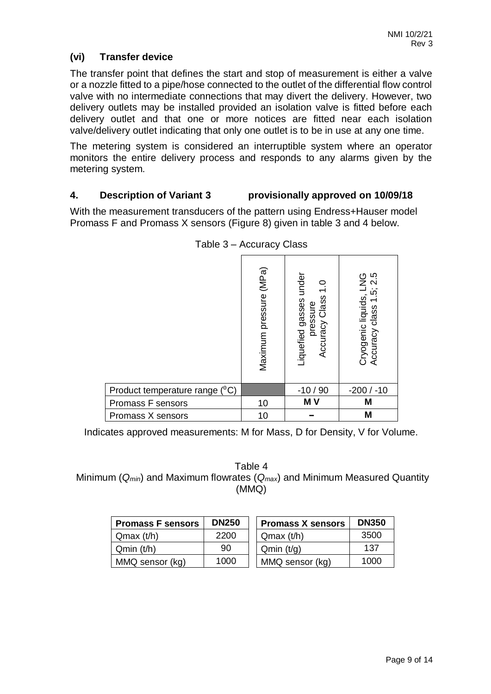# **(vi) Transfer device**

The transfer point that defines the start and stop of measurement is either a valve or a nozzle fitted to a pipe/hose connected to the outlet of the differential flow control valve with no intermediate connections that may divert the delivery. However, two delivery outlets may be installed provided an isolation valve is fitted before each delivery outlet and that one or more notices are fitted near each isolation valve/delivery outlet indicating that only one outlet is to be in use at any one time.

The metering system is considered an interruptible system where an operator monitors the entire delivery process and responds to any alarms given by the metering system.

### **4. Description of Variant 3 provisionally approved on 10/09/18**

With the measurement transducers of the pattern using Endress+Hauser model Promass F and Promass X sensors (Figure 8) given in table 3 and 4 below.

|                                | Maximum pressure (MPa) | Liquefied gasses under<br>$\frac{0}{1}$<br>Class<br>pressure<br>Accuracy | ഥ<br>9<br>ഥ<br>Cryogenic liquids,<br>class<br>Accuracy |
|--------------------------------|------------------------|--------------------------------------------------------------------------|--------------------------------------------------------|
| Product temperature range (°C) |                        | $-10/90$                                                                 | $-200/ -10$                                            |
| Promass F sensors              | 10                     | MV                                                                       | M                                                      |
| Promass X sensors              | 10                     |                                                                          | M                                                      |

Table 3 – Accuracy Class

Indicates approved measurements: M for Mass, D for Density, V for Volume.

Table 4 Minimum (*Qmin*) and Maximum flowrates (*Qmax*) and Minimum Measured Quantity (MMQ)

| <b>Promass F sensors</b> | <b>DN250</b> | <b>Promass X sensors</b> | <b>DN350</b> |
|--------------------------|--------------|--------------------------|--------------|
| Qmax(t/h)                | 2200         | Qmax(t/h)                | 3500         |
| Qmin(t/h)                | 90           | Qmin(t/q)                | 137          |
| MMQ sensor (kg)          | 1000         | MMQ sensor (kg)          | 1000         |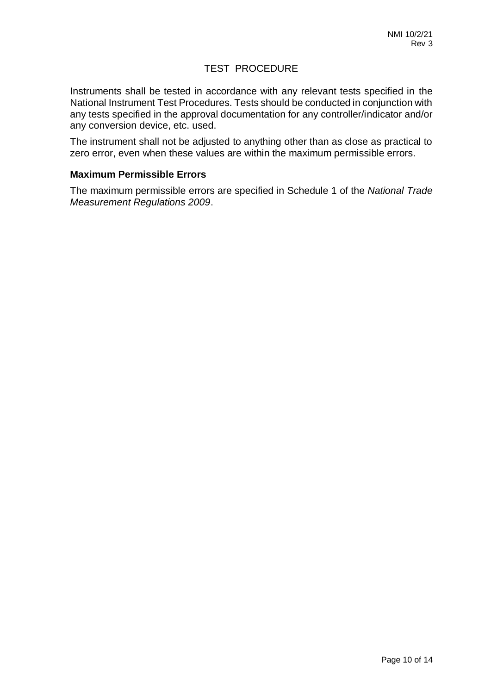#### TEST PROCEDURE

Instruments shall be tested in accordance with any relevant tests specified in the National Instrument Test Procedures. Tests should be conducted in conjunction with any tests specified in the approval documentation for any controller/indicator and/or any conversion device, etc. used.

The instrument shall not be adjusted to anything other than as close as practical to zero error, even when these values are within the maximum permissible errors.

#### **Maximum Permissible Errors**

The maximum permissible errors are specified in Schedule 1 of the *National Trade Measurement Regulations 2009*.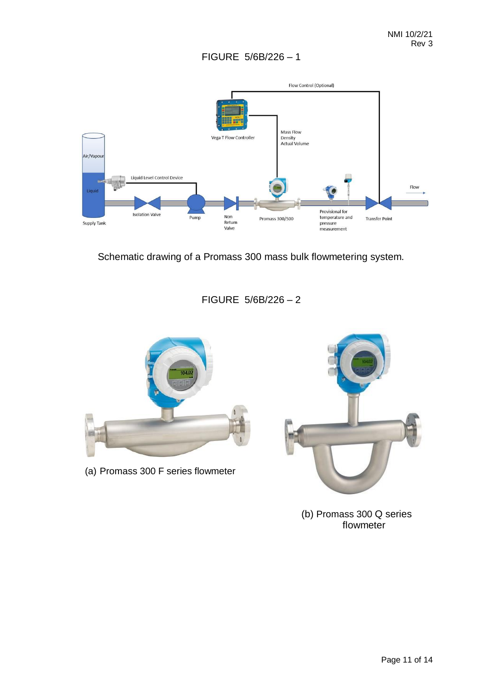

Schematic drawing of a Promass 300 mass bulk flowmetering system.

# FIGURE 5/6B/226 – 2



(a) Promass 300 F series flowmeter



(b) Promass 300 Q series flowmeter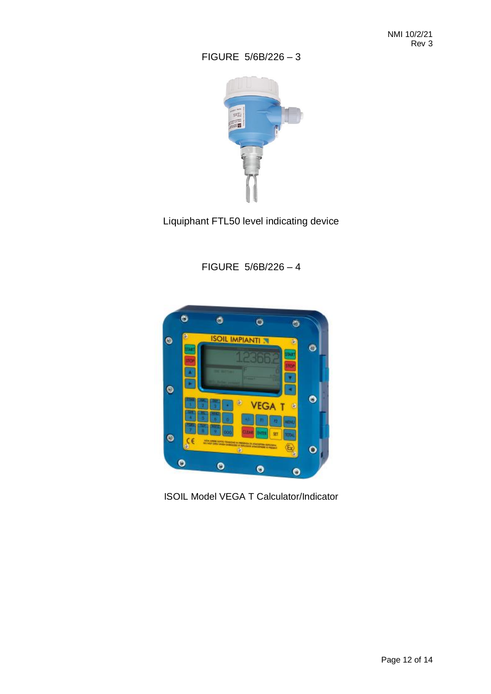

Liquiphant FTL50 level indicating device

FIGURE 5/6B/226 – 4



ISOIL Model VEGA T Calculator/Indicator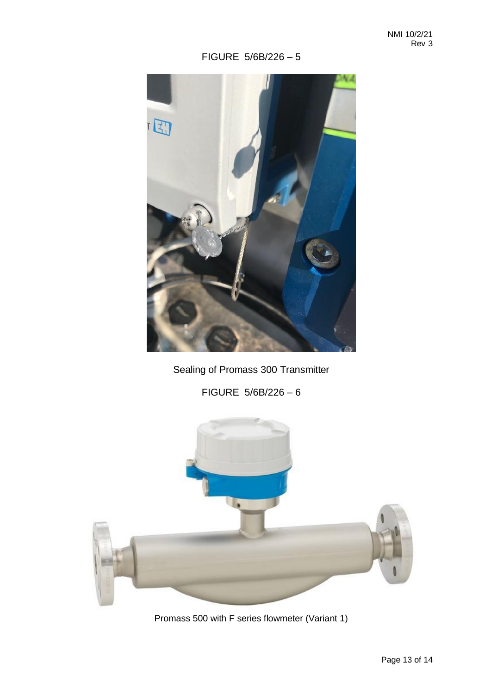

Sealing of Promass 300 Transmitter

FIGURE 5/6B/226 – 6



Promass 500 with F series flowmeter (Variant 1)